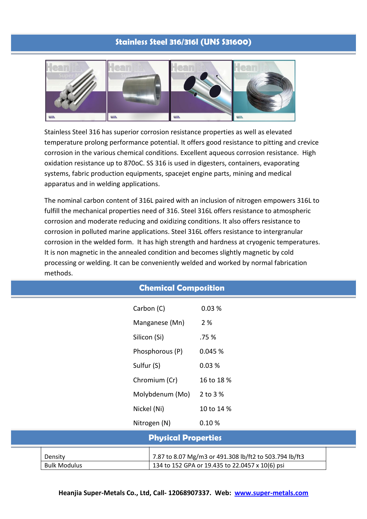## **Stainless Steel 316/316l (UNS S31600)**



Stainless Steel 316 has superior corrosion resistance properties as well as elevated temperature prolong performance potential. It offers good resistance to pitting and crevice corrosion in the various chemical conditions. Excellent aqueous corrosion resistance. High oxidation resistance up to 870oC. SS 316 is used in digesters, containers, evaporating systems, fabric production equipments, spacejet engine parts, mining and medical apparatus and in welding applications.

The nominal carbon content of 316L paired with an inclusion of nitrogen empowers 316L to fulfill the mechanical properties need of 316. Steel 316L offers resistance to atmospheric corrosion and moderate reducing and oxidizing conditions. It also offers resistance to corrosion in polluted marine applications. Steel 316L offers resistance to intergranular corrosion in the welded form. It has high strength and hardness at cryogenic temperatures. It is non magnetic in the annealed condition and becomes slightly magnetic by cold processing or welding. It can be conveniently welded and worked by normal fabrication methods.

| <b>Chemical Composition</b>    |                 |                                                                                                           |  |  |  |
|--------------------------------|-----------------|-----------------------------------------------------------------------------------------------------------|--|--|--|
|                                | Carbon (C)      | 0.03%                                                                                                     |  |  |  |
|                                | Manganese (Mn)  | 2 %                                                                                                       |  |  |  |
|                                | Silicon (Si)    | .75 %                                                                                                     |  |  |  |
|                                | Phosphorous (P) | 0.045 %                                                                                                   |  |  |  |
|                                | Sulfur (S)      | 0.03%                                                                                                     |  |  |  |
|                                | Chromium (Cr)   | 16 to 18 %                                                                                                |  |  |  |
|                                | Molybdenum (Mo) | 2 to 3 %                                                                                                  |  |  |  |
|                                | Nickel (Ni)     | 10 to 14 %                                                                                                |  |  |  |
|                                | Nitrogen (N)    | 0.10%                                                                                                     |  |  |  |
| <b>Physical Properties</b>     |                 |                                                                                                           |  |  |  |
| Density<br><b>Bulk Modulus</b> |                 | 7.87 to 8.07 Mg/m3 or 491.308 lb/ft2 to 503.794 lb/ft3<br>134 to 152 GPA or 19.435 to 22.0457 x 10(6) psi |  |  |  |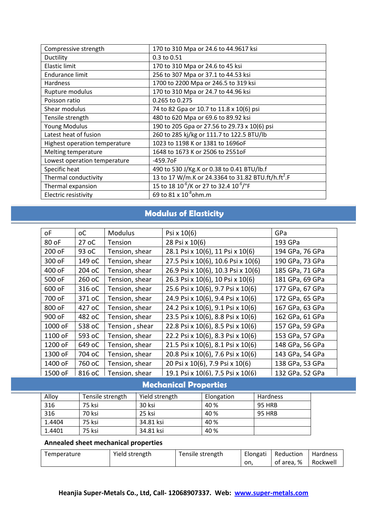| Compressive strength          | 170 to 310 Mpa or 24.6 to 44.9617 ksi                           |
|-------------------------------|-----------------------------------------------------------------|
| Ductility                     | 0.3 to 0.51                                                     |
| Elastic limit                 | 170 to 310 Mpa or 24.6 to 45 ksi                                |
| Endurance limit               | 256 to 307 Mpa or 37.1 to 44.53 ksi                             |
| Hardness                      | 1700 to 2200 Mpa or 246.5 to 319 ksi                            |
| Rupture modulus               | 170 to 310 Mpa or 24.7 to 44.96 ksi                             |
| Poisson ratio                 | 0.265 to 0.275                                                  |
| Shear modulus                 | 74 to 82 Gpa or 10.7 to 11.8 x 10(6) psi                        |
| Tensile strength              | 480 to 620 Mpa or 69.6 to 89.92 ksi                             |
| <b>Young Modulus</b>          | 190 to 205 Gpa or 27.56 to 29.73 x 10(6) psi                    |
| Latest heat of fusion         | 260 to 285 kj/kg or 111.7 to 122.5 BTU/lb                       |
| Highest operation temperature | 1023 to 1198 K or 1381 to 1696oF                                |
| Melting temperature           | 1648 to 1673 K or 2506 to 2551oF                                |
| Lowest operation temperature  | $-459.7$ oF                                                     |
| Specific heat                 | 490 to 530 J/Kg.K or 0.38 to 0.41 BTU/lb.f                      |
| Thermal conductivity          | 13 to 17 W/m.K or 24.3364 to 31.82 BTU.ft/h.ft <sup>2</sup> .F  |
| Thermal expansion             | 15 to 18 10 <sup>-6</sup> /K or 27 to 32.4 10 <sup>-6</sup> /°F |
| Electric resistivity          | 69 to 81 x 10 <sup>8</sup> ohm.m                                |

# **Modulus of Elasticity**

| οF      | оC     | <b>Modulus</b> | Psi x 10(6)                        | GPa             |
|---------|--------|----------------|------------------------------------|-----------------|
| 80 oF   | 27 oC  | Tension        | 28 Psi x 10(6)                     | 193 GPa         |
| 200 oF  | 93 oC  | Tension, shear | 28.1 Psi x 10(6), 11 Psi x 10(6)   | 194 GPa, 76 GPa |
| 300 oF  | 149 oC | Tension, shear | 27.5 Psi x 10(6), 10.6 Psi x 10(6) | 190 GPa, 73 GPa |
| 400 oF  | 204 oC | Tension, shear | 26.9 Psi x 10(6), 10.3 Psi x 10(6) | 185 GPa, 71 GPa |
| 500 oF  | 260 oC | Tension, shear | 26.3 Psi x 10(6), 10 Psi x 10(6)   | 181 GPa, 69 GPa |
| 600 oF  | 316 oC | Tension, shear | 25.6 Psi x 10(6), 9.7 Psi x 10(6)  | 177 GPa, 67 GPa |
| 700 oF  | 371 oC | Tension, shear | 24.9 Psi x 10(6), 9.4 Psi x 10(6)  | 172 GPa, 65 GPa |
| 800 oF  | 427 oC | Tension, shear | 24.2 Psi x 10(6), 9.1 Psi x 10(6)  | 167 GPa, 63 GPa |
| 900 oF  | 482 oC | Tension, shear | 23.5 Psi x 10(6), 8.8 Psi x 10(6)  | 162 GPa, 61 GPa |
| 1000 oF | 538 oC | Tension, shear | 22.8 Psi x 10(6), 8.5 Psi x 10(6)  | 157 GPa, 59 GPa |
| 1100 oF | 593 oC | Tension, shear | 22.2 Psi x 10(6), 8.3 Psi x 10(6)  | 153 GPa, 57 GPa |
| 1200 oF | 649 oC | Tension, shear | 21.5 Psi x 10(6), 8.1 Psi x 10(6)  | 148 GPa, 56 GPa |
| 1300 oF | 704 oC | Tension, shear | 20.8 Psi x 10(6), 7.6 Psi x 10(6)  | 143 GPa, 54 GPa |
| 1400 oF | 760 oC | Tension, shear | 20 Psi x 10(6), 7.9 Psi x 10(6)    | 138 GPa, 53 GPa |
| 1500 oF | 816 oC | Tension, shear | 19.1 Psi x 10(6), 7.5 Psi x 10(6)  | 132 GPa, 52 GPa |

# **Mechanical Properties**

| Alloy  | Tensile strength | Yield strength | Elongation | Hardness |
|--------|------------------|----------------|------------|----------|
| 316    | 75 ksi           | 30 ksi         | 40 %       | 95 HRB   |
| 316    | 70 ksi           | 25 ksi         | 40 %       | 95 HRB   |
| 1.4404 | 75 ksi           | 34.81 ksi      | 40 %       |          |
| 1.4401 | 75 ksi           | 34.81 ksi      | 40 %       |          |

## **Annealed sheet mechanical properties**

| Temperature | Yield strength | Tensile strength | Elongati | Reduction  | <b>Hardness</b> |
|-------------|----------------|------------------|----------|------------|-----------------|
|             |                |                  | on.      | of area. % | Rockwell        |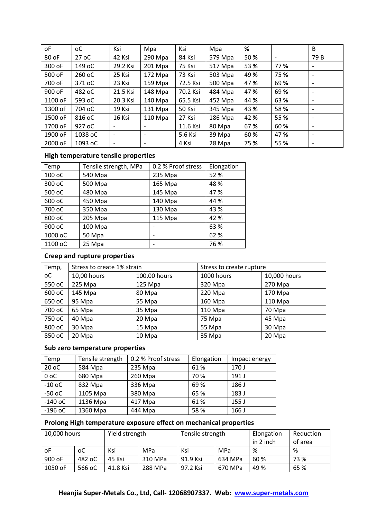| οF      | оC      | Ksi                      | Mpa                      | Ksi      | Mpa     | %    |      | B                        |
|---------|---------|--------------------------|--------------------------|----------|---------|------|------|--------------------------|
| 80 oF   | 27 oC   | 42 Ksi                   | 290 Mpa                  | 84 Ksi   | 579 Mpa | 50%  |      | 79 B                     |
| 300 oF  | 149 oC  | 29.2 Ksi                 | 201 Mpa                  | 75 Ksi   | 517 Mpa | 53 % | 77%  | $\overline{\phantom{0}}$ |
| 500 oF  | 260 oC  | 25 Ksi                   | 172 Mpa                  | 73 Ksi   | 503 Mpa | 49 % | 75 % | $\overline{\phantom{a}}$ |
| 700 oF  | 371 oC  | 23 Ksi                   | 159 Mpa                  | 72.5 Ksi | 500 Mpa | 47 % | 69%  | $\overline{\phantom{0}}$ |
| 900 oF  | 482 oC  | 21.5 Ksi                 | 148 Mpa                  | 70.2 Ksi | 484 Mpa | 47 % | 69%  |                          |
| 1100 oF | 593 oC  | 20.3 Ksi                 | $140$ Mpa                | 65.5 Ksi | 452 Mpa | 44 % | 63%  |                          |
| 1300 oF | 704 oC  | 19 Ksi                   | 131 Mpa                  | 50 Ksi   | 345 Mpa | 43 % | 58%  |                          |
| 1500 oF | 816 oC  | 16 Ksi                   | 110 Mpa                  | 27 Ksi   | 186 Mpa | 42 % | 55 % | $\overline{\phantom{a}}$ |
| 1700 oF | 927 oC  |                          |                          | 11.6 Ksi | 80 Mpa  | 67%  | 60 % |                          |
| 1900 oF | 1038 oC | $\overline{\phantom{a}}$ | $\overline{\phantom{a}}$ | 5.6 Ksi  | 39 Mpa  | 60 % | 47 % | $\overline{\phantom{a}}$ |
| 2000 oF | 1093 oC | -                        |                          | 4 Ksi    | 28 Mpa  | 75 % | 55 % |                          |

## **High temperature tensile properties**

| Temp    | Tensile strength, MPa | 0.2 % Proof stress | Elongation |
|---------|-----------------------|--------------------|------------|
| 100 oC  | 540 Mpa               | 235 Mpa            | 52 %       |
| 300 oC  | 500 Mpa               | 165 Mpa            | 48 %       |
| 500 oC  | 480 Mpa               | 145 Mpa            | 47%        |
| 600 oC  | 450 Mpa               | 140 Mpa            | 44 %       |
| 700 oC  | 350 Mpa               | 130 Mpa            | 43 %       |
| 800 oC  | 205 Mpa               | 115 Mpa            | 42 %       |
| 900 oC  | 100 Mpa               |                    | 63 %       |
| 1000 oC | 50 Mpa                |                    | 62 %       |
| 1100 oC | 25 Mpa                |                    | 76 %       |

## **Creep and rupture properties**

| Temp,  | Stress to create 1% strain |              | Stress to create rupture |              |  |
|--------|----------------------------|--------------|--------------------------|--------------|--|
| оC     | 10,00 hours                | 100,00 hours | 1000 hours               | 10,000 hours |  |
| 550 oC | $225$ Mpa                  | $125$ Mpa    | 320 Mpa                  | 270 Mpa      |  |
| 600 oC | 145 Mpa                    | 80 Mpa       | 220 Mpa                  | 170 Mpa      |  |
| 650 oC | 95 Mpa                     | 55 Mpa       | 160 Mpa                  | 110 Mpa      |  |
| 700 oC | 65 Mpa                     | 35 Mpa       | 110 Mpa                  | 70 Mpa       |  |
| 750 oC | 40 Mpa                     | 20 Mpa       | 75 Mpa                   | 45 Mpa       |  |
| 800 oC | 30 Mpa                     | 15 Mpa       | 55 Mpa                   | 30 Mpa       |  |
| 850 oC | 20 Mpa                     | 10 Mpa       | 35 Mpa                   | 20 Mpa       |  |

#### **Sub zero temperature properties**

| Temp           | Tensile strength | 0.2 % Proof stress | Elongation | Impact energy    |
|----------------|------------------|--------------------|------------|------------------|
| 20 oC          | 584 Mpa          | 235 Mpa            | 61%        | 170 J            |
| 0 <sub>o</sub> | 680 Mpa          | 260 Mpa            | 70 %       | 191 <sub>J</sub> |
| $-10$ oC       | 832 Mpa          | 336 Mpa            | 69%        | 186 J            |
| $-50$ oC       | 1105 Mpa         | 380 Mpa            | 65 %       | 183 J            |
| $-140$ oC      | 1136 Mpa         | 417 Mpa            | 61%        | 155 J            |
| $-196$ oC      | 1360 Mpa         | 444 Mpa            | 58%        | 166J             |

#### **Prolong High temperature exposure effect on mechanical properties**

| 10,000 hours |        | Yield strength |            | Tensile strength |         | Elongation<br>in 2 inch | Reduction<br>of area |
|--------------|--------|----------------|------------|------------------|---------|-------------------------|----------------------|
| 0F           | оC     | Ksi            | <b>MPa</b> | Ksi              | MPa     | %                       | ℅                    |
| 900 oF       | 482 oC | 45 Ksi         | 310 MPa    | 91.9 Ksi         | 634 MPa | 60%                     | 73 %                 |
| 1050 oF      | 566 oC | 41.8 Ksi       | 288 MPa    | 97.2 Ksi         | 670 MPa | 49 %                    | 65 %                 |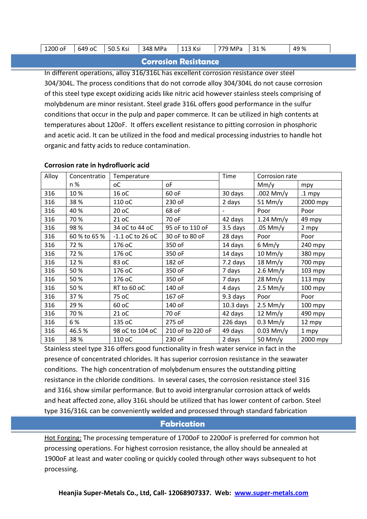|  |  | 1200 oF | 649<br>-<br>' oc | $\cdot$ $\cdot$<br>$\mathbf{v}$<br>50.5<br>n si | MPa<br>348 <sup>-1</sup> | 113 Ksi<br>$\sim$ | MPa<br>ר -<br>o | $\mathcal{L}$<br>%<br>ັ | 49<br>్క |
|--|--|---------|------------------|-------------------------------------------------|--------------------------|-------------------|-----------------|-------------------------|----------|
|--|--|---------|------------------|-------------------------------------------------|--------------------------|-------------------|-----------------|-------------------------|----------|

#### **Corrosion Resistance**

In different operations, alloy 316/316L has excellent corrosion resistance over steel 304/304L. The process conditions that do not corrode alloy 304/304L do not cause corrosion of this steel type except oxidizing acids like nitric acid however stainless steels comprising of molybdenum are minor resistant. Steel grade 316L offers good performance in the sulfur conditions that occur in the pulp and paper commerce. It can be utilized in high contents at temperatures about 120oF. It offers excellent resistance to pitting corrosion in phosphoric and acetic acid. It can be utilized in the food and medical processing industries to handle hot organic and fatty acids to reduce contamination.

| Alloy | Concentratio | Temperature        |                  | Time        | Corrosion rate |           |
|-------|--------------|--------------------|------------------|-------------|----------------|-----------|
|       | n %          | оC                 | οF               |             | Mm/y           | mpy       |
| 316   | 10%          | 16 oC              | 60 oF            | 30 days     | .002 Mm/y      | $.1$ mpy  |
| 316   | 38%          | 110 oC             | 230 oF           | 2 days      | $51$ Mm/y      | 2000 mpy  |
| 316   | 40%          | 20 oC              | 68 oF            |             | Poor           | Poor      |
| 316   | 70%          | 21 oC              | 70 oF            | 42 days     | $1.24$ Mm/y    | 49 mpy    |
| 316   | 98%          | 34 oC to 44 oC     | 95 oF to 110 oF  | $3.5$ days  | $.05$ Mm/y     | 2 mpy     |
| 316   | 60 % to 65 % | $-1.1$ oC to 26 oC | 30 oF to 80 oF   | 28 days     | Poor           | Poor      |
| 316   | 72%          | 176 oC             | 350 oF           | 14 days     | $6$ Mm/y       | 240 mpy   |
| 316   | 72%          | 176 oC             | 350 oF           | 14 days     | $10$ Mm/y      | 380 mpy   |
| 316   | 12%          | 83 oC              | 182 oF           | 7.2 days    | $18$ Mm/y      | 700 mpy   |
| 316   | 50%          | 176 oC             | 350 oF           | 7 days      | $2.6$ Mm/y     | 103 mpy   |
| 316   | 50%          | 176 oC             | 350 oF           | 7 days      | $28$ Mm/y      | 113 mpy   |
| 316   | 50%          | RT to 60 oC        | 140 oF           | 4 days      | $2.5$ Mm/y     | $100$ mpy |
| 316   | 37%          | 75 oC              | 167 oF           | 9.3 days    | Poor           | Poor      |
| 316   | 29%          | 60 oC              | 140 oF           | $10.3$ days | $2.5$ Mm/y     | 100 mpy   |
| 316   | 70%          | 21 oC              | 70 oF            | 42 days     | $12$ Mm/y      | 490 mpy   |
| 316   | 6 %          | 135 oC             | 275 oF           | 226 days    | $0.3$ Mm/y     | 12 mpy    |
| 316   | 46.5%        | 98 oC to 104 oC    | 210 oF to 220 oF | 49 days     | $0.03$ Mm/y    | 1 mpy     |
| 316   | 38%          | 110 oC             | 230 oF           | 2 days      | 50 Mm/y        | 2000 mpy  |

#### **Corrosion rate in hydrofluoric acid**

Stainless steel type 316 offers good functionality in fresh water service in fact in the presence of concentrated chlorides. It has superior corrosion resistance in the seawater conditions. The high concentration of molybdenum ensures the outstanding pitting resistance in the chloride conditions. In several cases, the corrosion resistance steel 316 and 316L show similar performance. But to avoid intergranular corrosion attack of welds and heat affected zone, alloy 316L should be utilized that has lower content of carbon. Steel type 316/316L can be conveniently welded and processed through standard fabrication

#### **Fabrication**

Hot Forging: The processing temperature of 1700oF to 2200oF is preferred for common hot processing operations. For highest corrosion resistance, the alloy should be annealed at 1900oF at least and water cooling or quickly cooled through other ways subsequent to hot processing.